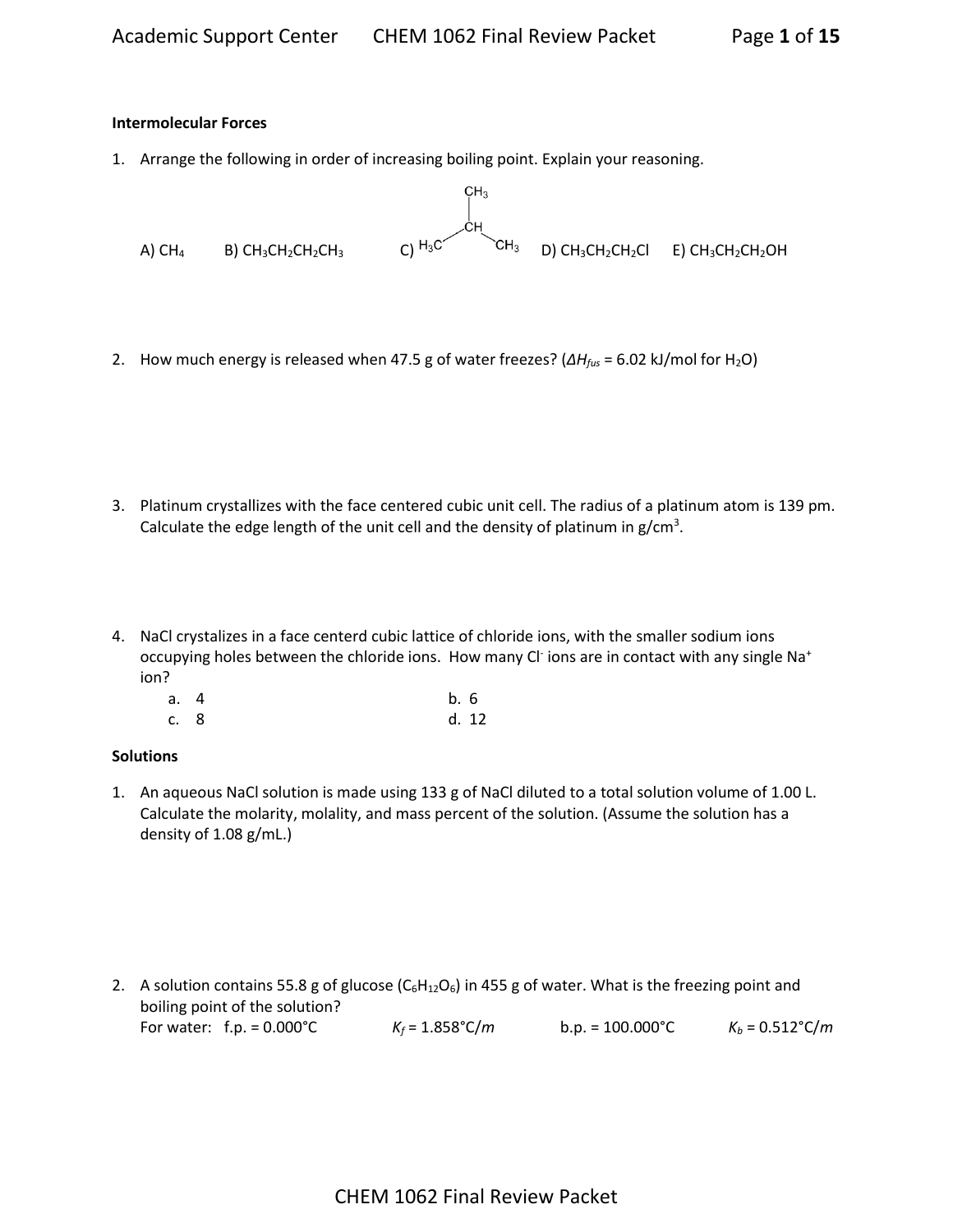#### **Intermolecular Forces**

1. Arrange the following in order of increasing boiling point. Explain your reasoning.



2. How much energy is released when 47.5 g of water freezes? (*∆Hfus* = 6.02 kJ/mol for H2O)

- 3. Platinum crystallizes with the face centered cubic unit cell. The radius of a platinum atom is 139 pm. Calculate the edge length of the unit cell and the density of platinum in  $g/cm^3$ .
- 4. NaCl crystalizes in a face centerd cubic lattice of chloride ions, with the smaller sodium ions occupying holes between the chloride ions. How many Cl<sup>-</sup>ions are in contact with any single Na<sup>+</sup> ion?

| a. 4 | b.6 |       |
|------|-----|-------|
| c. 8 |     | d. 12 |

#### **Solutions**

1. An aqueous NaCl solution is made using 133 g of NaCl diluted to a total solution volume of 1.00 L. Calculate the molarity, molality, and mass percent of the solution. (Assume the solution has a density of 1.08 g/mL.)

2. A solution contains 55.8 g of glucose  $(C_6H_{12}O_6)$  in 455 g of water. What is the freezing point and boiling point of the solution? For water: f.p. = 0.000°C *K<sup>f</sup>* = 1.858°C/*m* b.p. = 100.000°C *K<sup>b</sup>* = 0.512°C/*m*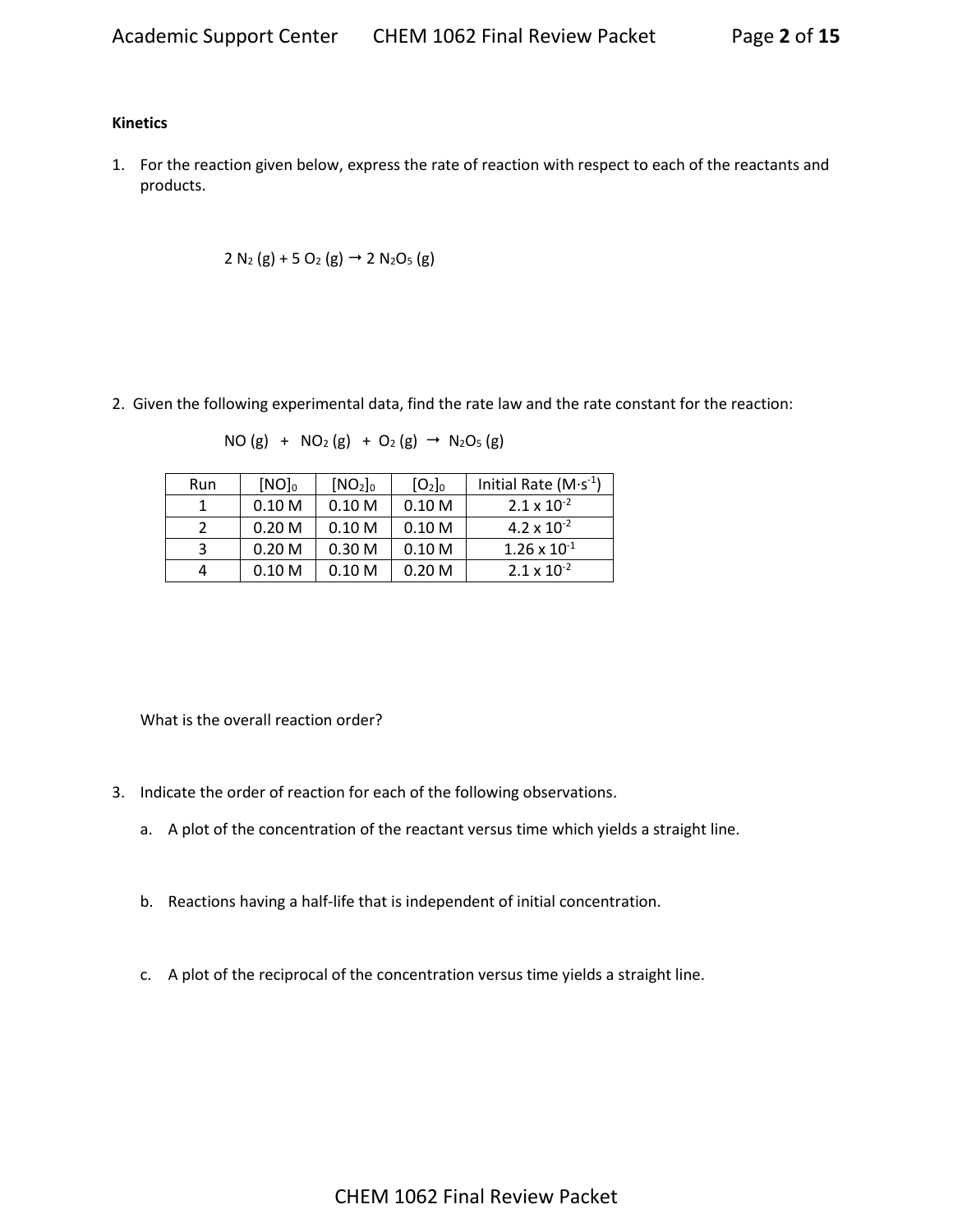#### **Kinetics**

1. For the reaction given below, express the rate of reaction with respect to each of the reactants and products.

$$
2 N_2(g) + 5 O_2(g) \rightarrow 2 N_2O_5(g)
$$

2. Given the following experimental data, find the rate law and the rate constant for the reaction:

$$
NO(g) + NO_2(g) + O_2(g) \rightarrow N_2O_5(g)
$$

| Run | $[NO]_0$          | [NO <sub>2</sub> ] <sub>0</sub> | [O <sub>2</sub> ] <sub>0</sub> | Initial Rate $(M·s-1)$ |
|-----|-------------------|---------------------------------|--------------------------------|------------------------|
|     | 0.10 <sub>M</sub> | 0.10 <sub>M</sub>               | 0.10 <sub>M</sub>              | $2.1 \times 10^{-2}$   |
|     | 0.20 <sub>M</sub> | 0.10 <sub>M</sub>               | 0.10 <sub>M</sub>              | 4.2 x $10^{-2}$        |
| 3   | 0.20 <sub>M</sub> | 0.30 <sub>M</sub>               | 0.10 <sub>M</sub>              | $1.26 \times 10^{-1}$  |
| 4   | 0.10 <sub>M</sub> | 0.10 <sub>M</sub>               | 0.20 <sub>M</sub>              | $2.1 \times 10^{-2}$   |

What is the overall reaction order?

- 3. Indicate the order of reaction for each of the following observations.
	- a. A plot of the concentration of the reactant versus time which yields a straight line.
	- b. Reactions having a half-life that is independent of initial concentration.
	- c. A plot of the reciprocal of the concentration versus time yields a straight line.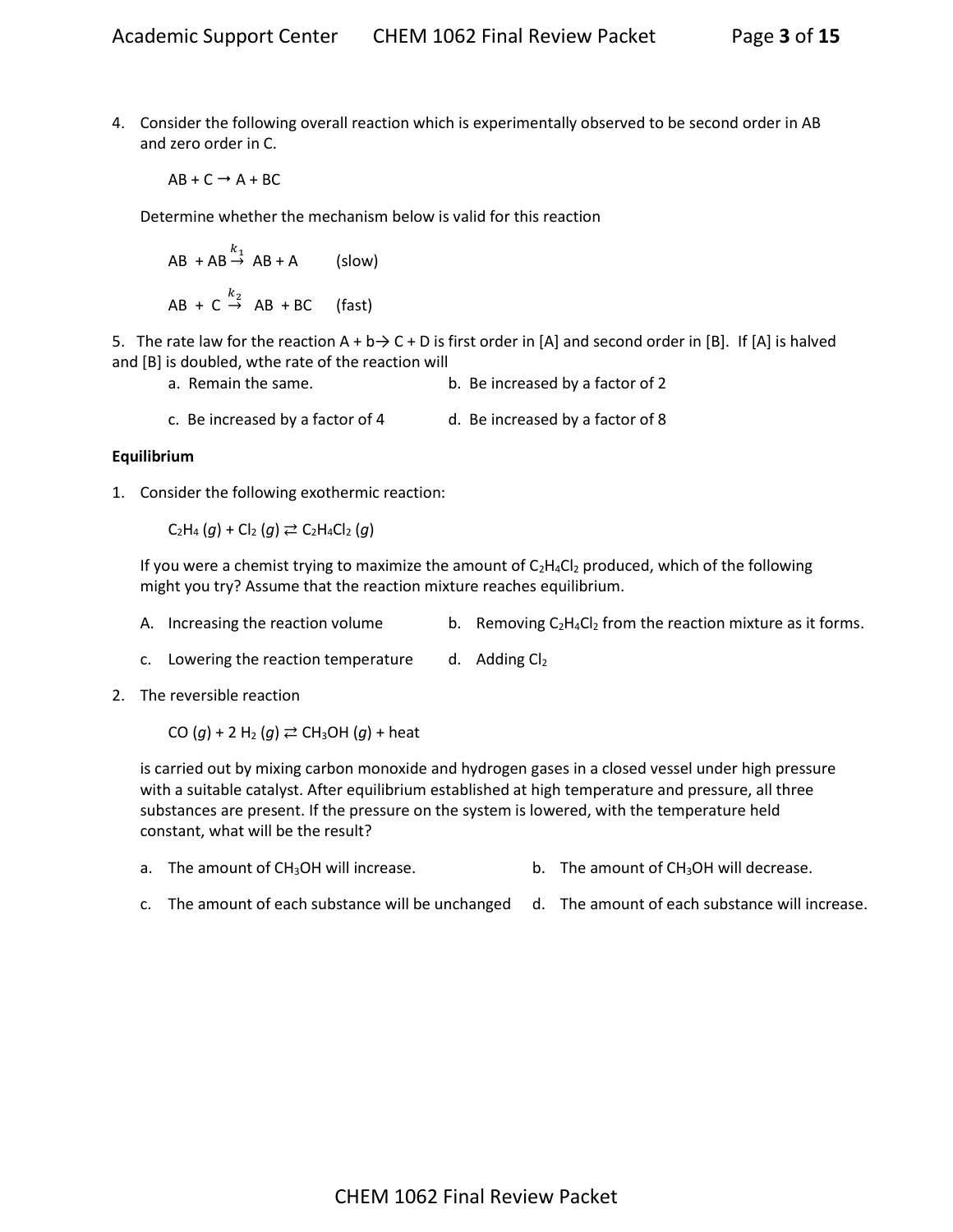4. Consider the following overall reaction which is experimentally observed to be second order in AB and zero order in C.

$$
\mathsf{AB} + \mathsf{C} \to \mathsf{A} + \mathsf{BC}
$$

Determine whether the mechanism below is valid for this reaction

$$
AB + AB \xrightarrow{k_1} AB + A \qquad \text{(slow)}
$$
\n
$$
AB + C \xrightarrow{k_2} AB + BC \qquad \text{(fast)}
$$

5. The rate law for the reaction  $A + b \rightarrow C + D$  is first order in [A] and second order in [B]. If [A] is halved and [B] is doubled, wthe rate of the reaction will

- a. Remain the same. b. Be increased by a factor of 2
- c. Be increased by a factor of 4 d. Be increased by a factor of 8

### **Equilibrium**

1. Consider the following exothermic reaction:

 $C_2H_4(g) + C_2(g) \rightleftarrows C_2H_4Cl_2(g)$ 

If you were a chemist trying to maximize the amount of  $C_2H_4Cl_2$  produced, which of the following might you try? Assume that the reaction mixture reaches equilibrium.

A. Increasing the reaction volume b. Removing  $C_2H_4Cl_2$  from the reaction mixture as it forms.

c. Lowering the reaction temperature  $\frac{d}{dx}$  Adding Cl<sub>2</sub>

2. The reversible reaction

CO  $(q)$  + 2 H<sub>2</sub>  $(q) \rightleftarrows$  CH<sub>3</sub>OH  $(q)$  + heat

is carried out by mixing carbon monoxide and hydrogen gases in a closed vessel under high pressure with a suitable catalyst. After equilibrium established at high temperature and pressure, all three substances are present. If the pressure on the system is lowered, with the temperature held constant, what will be the result?

- a. The amount of  $CH_3OH$  will increase. b. The amount of  $CH_3OH$  will decrease.
- c. The amount of each substance will be unchanged d. The amount of each substance will increase.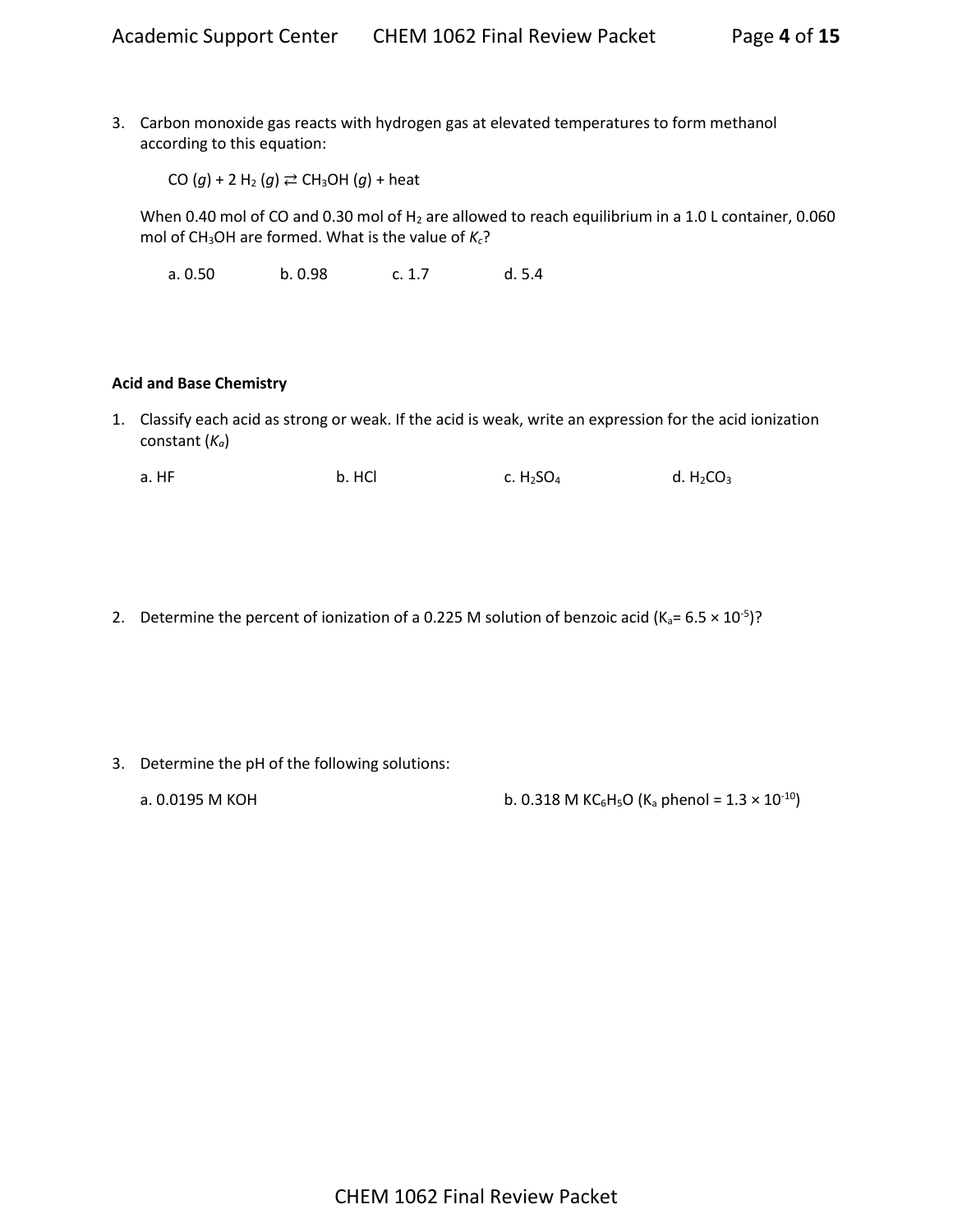3. Carbon monoxide gas reacts with hydrogen gas at elevated temperatures to form methanol according to this equation:

CO  $(g)$  + 2 H<sub>2</sub>  $(g) \rightleftarrows$  CH<sub>3</sub>OH  $(g)$  + heat

When 0.40 mol of CO and 0.30 mol of  $H_2$  are allowed to reach equilibrium in a 1.0 L container, 0.060 mol of CH<sub>3</sub>OH are formed. What is the value of  $K_c$ ?

a. 0.50 b. 0.98 c. 1.7 d. 5.4

### **Acid and Base Chemistry**

1. Classify each acid as strong or weak. If the acid is weak, write an expression for the acid ionization constant (*Ka*)

a. HF b. HCl c. H<sub>2</sub>SO<sub>4</sub> d. H<sub>2</sub>CO<sub>3</sub>

2. Determine the percent of ionization of a 0.225 M solution of benzoic acid (K<sub>a</sub>= 6.5  $\times$  10<sup>-5</sup>)?

- 3. Determine the pH of the following solutions:
	-

a. 0.0195 M KOH b. 0.318 M KC<sub>6</sub>H<sub>5</sub>O (K<sub>a</sub> phenol =  $1.3 \times 10^{-10}$ )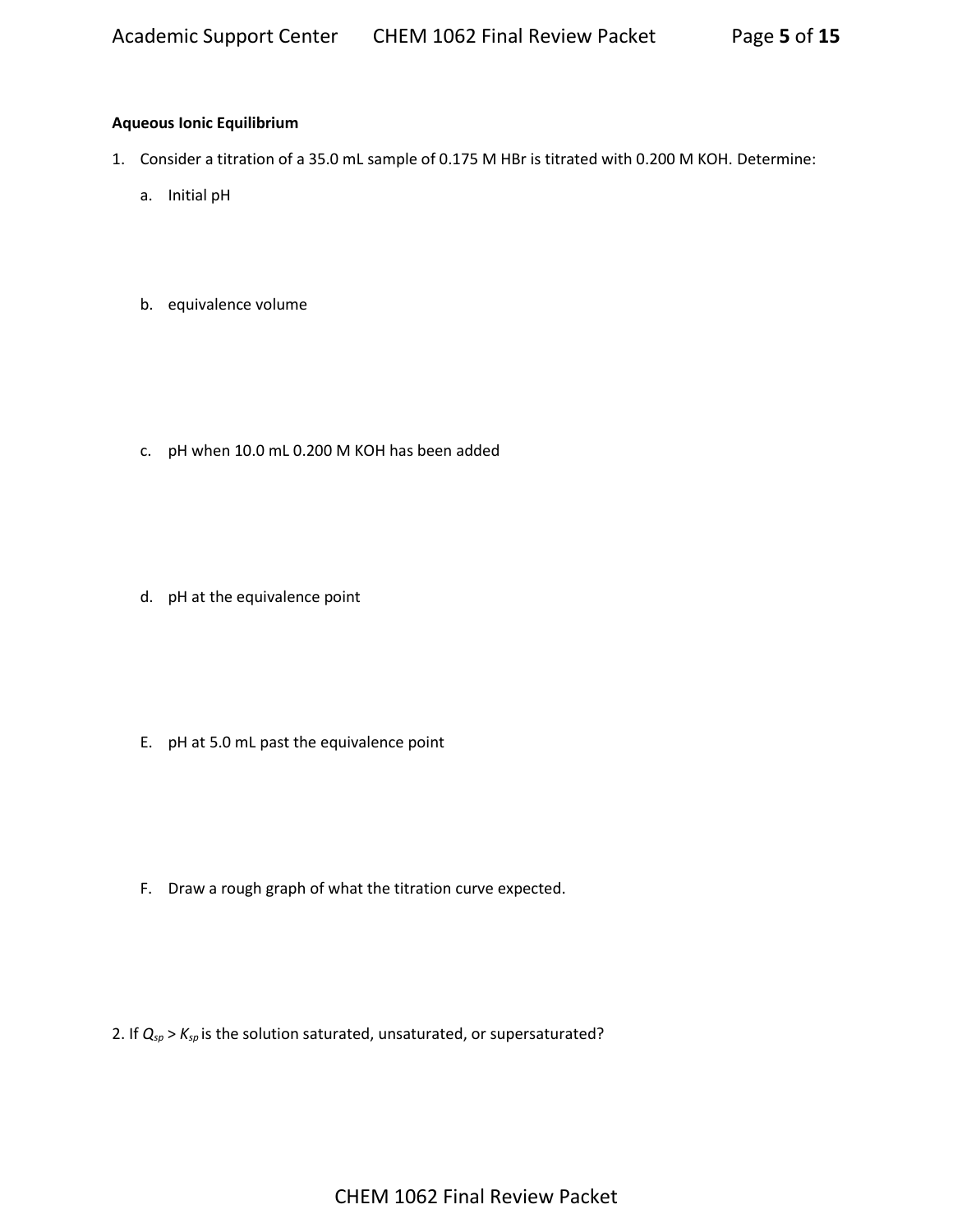# **Aqueous Ionic Equilibrium**

- 1. Consider a titration of a 35.0 mL sample of 0.175 M HBr is titrated with 0.200 M KOH. Determine:
	- a. Initial pH
	- b. equivalence volume

c. pH when 10.0 mL 0.200 M KOH has been added

d. pH at the equivalence point

E. pH at 5.0 mL past the equivalence point

F. Draw a rough graph of what the titration curve expected.

2. If *Qsp* > *Ksp* is the solution saturated, unsaturated, or supersaturated?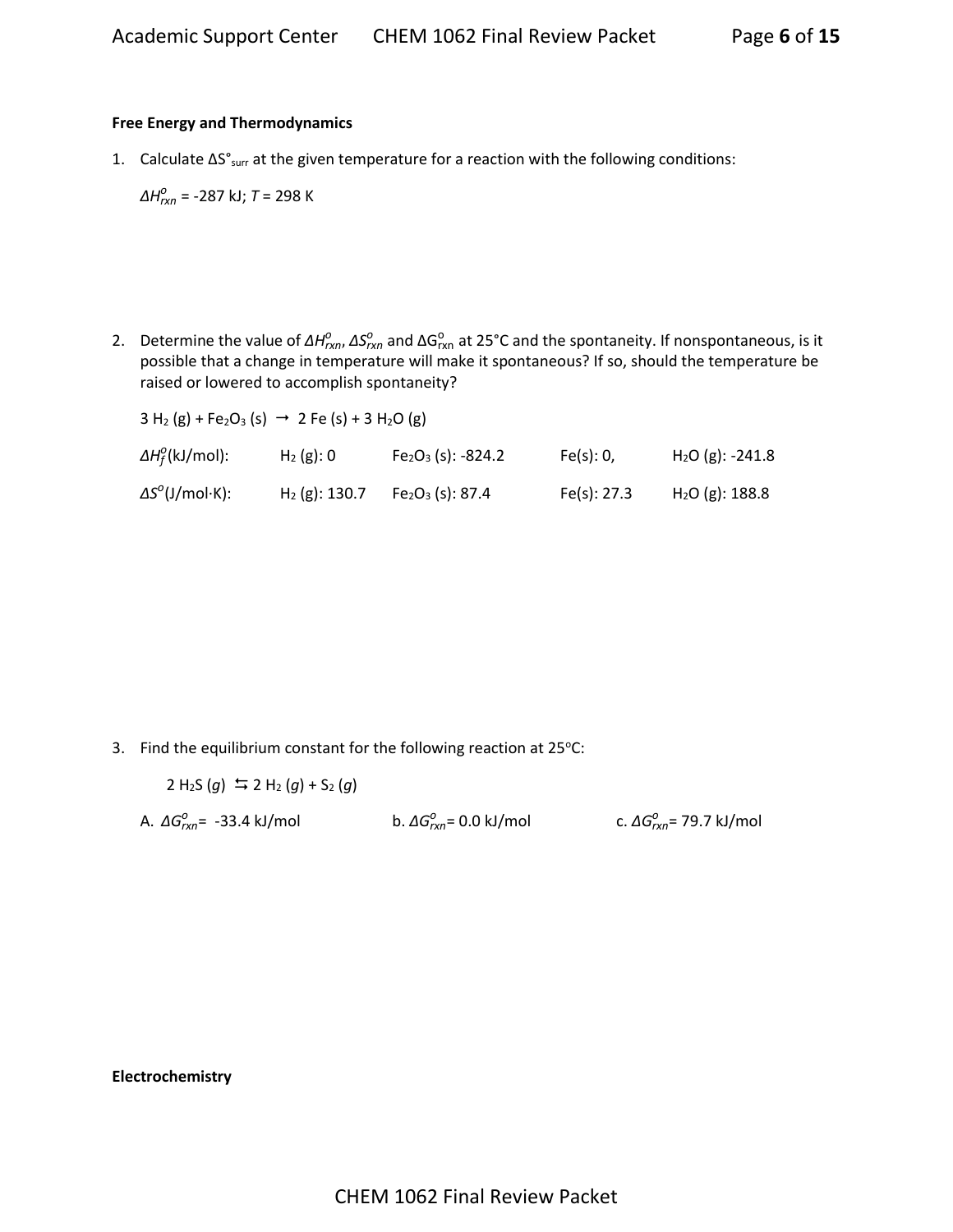### **Free Energy and Thermodynamics**

1. Calculate ∆S°surr at the given temperature for a reaction with the following conditions:

*ΔH<sup>o</sup><sub>rxn</sub>* = -287 kJ; *T* = 298 K

2. Determine the value of ΔH<sub>*rxn*</sub>, ΔS<sub>*rxn*</sub> and ΔG<sub>rxn</sub> at 25°C and the spontaneity. If nonspontaneous, is it possible that a change in temperature will make it spontaneous? If so, should the temperature be raised or lowered to accomplish spontaneity?

| $3 H_2(g) + Fe_2O_3(s) \rightarrow 2 Fe(s) + 3 H_2O(g)$ |                  |                     |             |                   |  |
|---------------------------------------------------------|------------------|---------------------|-------------|-------------------|--|
| $\Delta H_f^0$ (kJ/mol):                                | $H_2(g)$ : 0     | $Fe2O3$ (s): -824.2 | Fe(s): 0,   | $H2O$ (g): -241.8 |  |
| $\Delta S^0$ (J/mol·K):                                 | $H_2$ (g): 130.7 | $Fe2O3$ (s): 87.4   | Fe(s): 27.3 | $H2O$ (g): 188.8  |  |

3. Find the equilibrium constant for the following reaction at  $25^{\circ}$ C:

 $2 H_2S(q)$   $\leq 2 H_2(q) + S_2(q)$ 

A. *ΔGrxn o* = -33.4 kJ/mol b. *ΔGrxn o* = 0.0 kJ/mol c. *ΔGrxn o* = 79.7 kJ/mol

**Electrochemistry**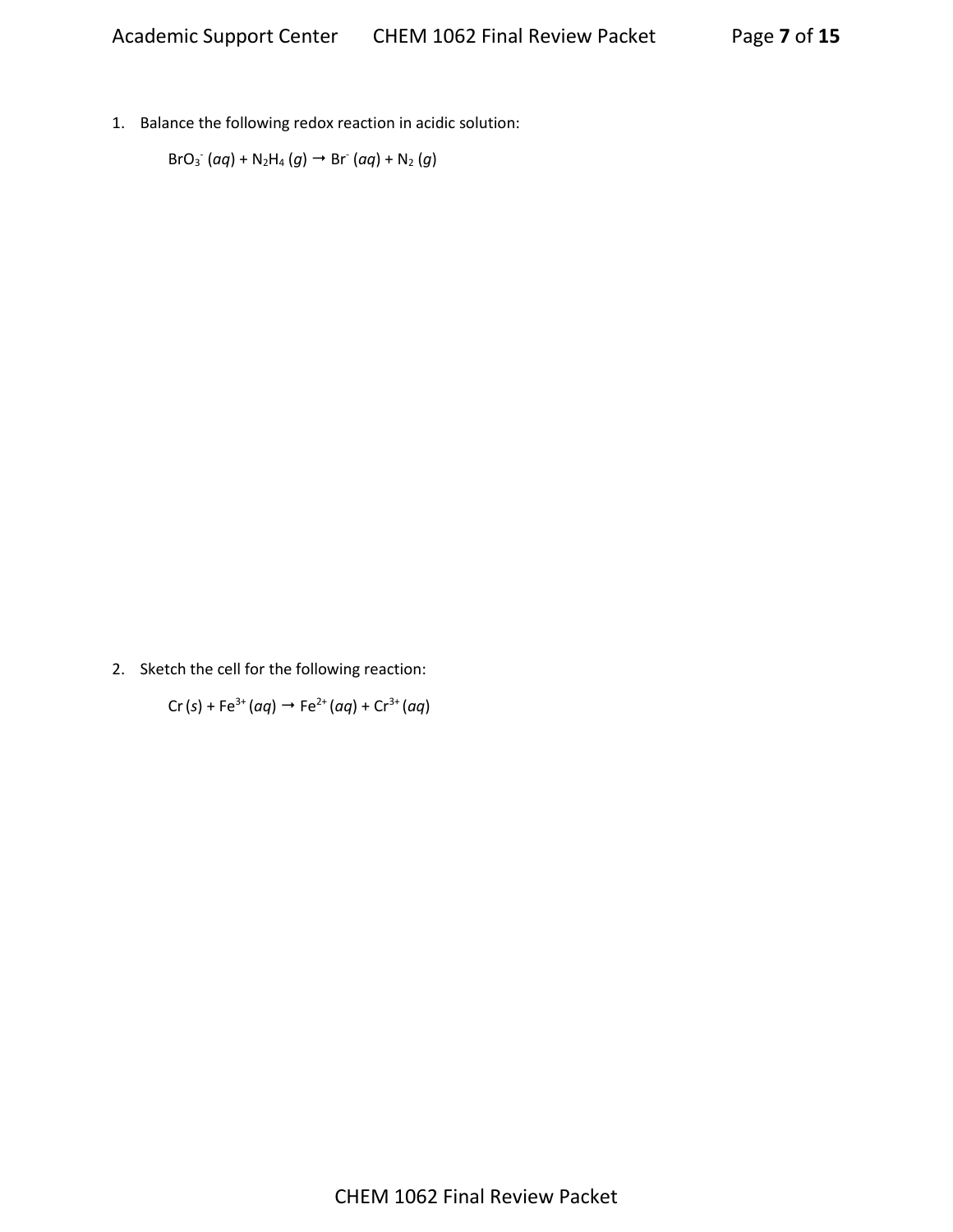1. Balance the following redox reaction in acidic solution:

 $\text{BrO}_3$ <sup>-</sup> (*aq*) + N<sub>2</sub>H<sub>4</sub> (*g*)  $\rightarrow$  Br<sup>-</sup> (*aq*) + N<sub>2</sub> (*g*)

2. Sketch the cell for the following reaction:

 $Cr(s) + Fe^{3+}(aq) \rightarrow Fe^{2+}(aq) + Cr^{3+}(aq)$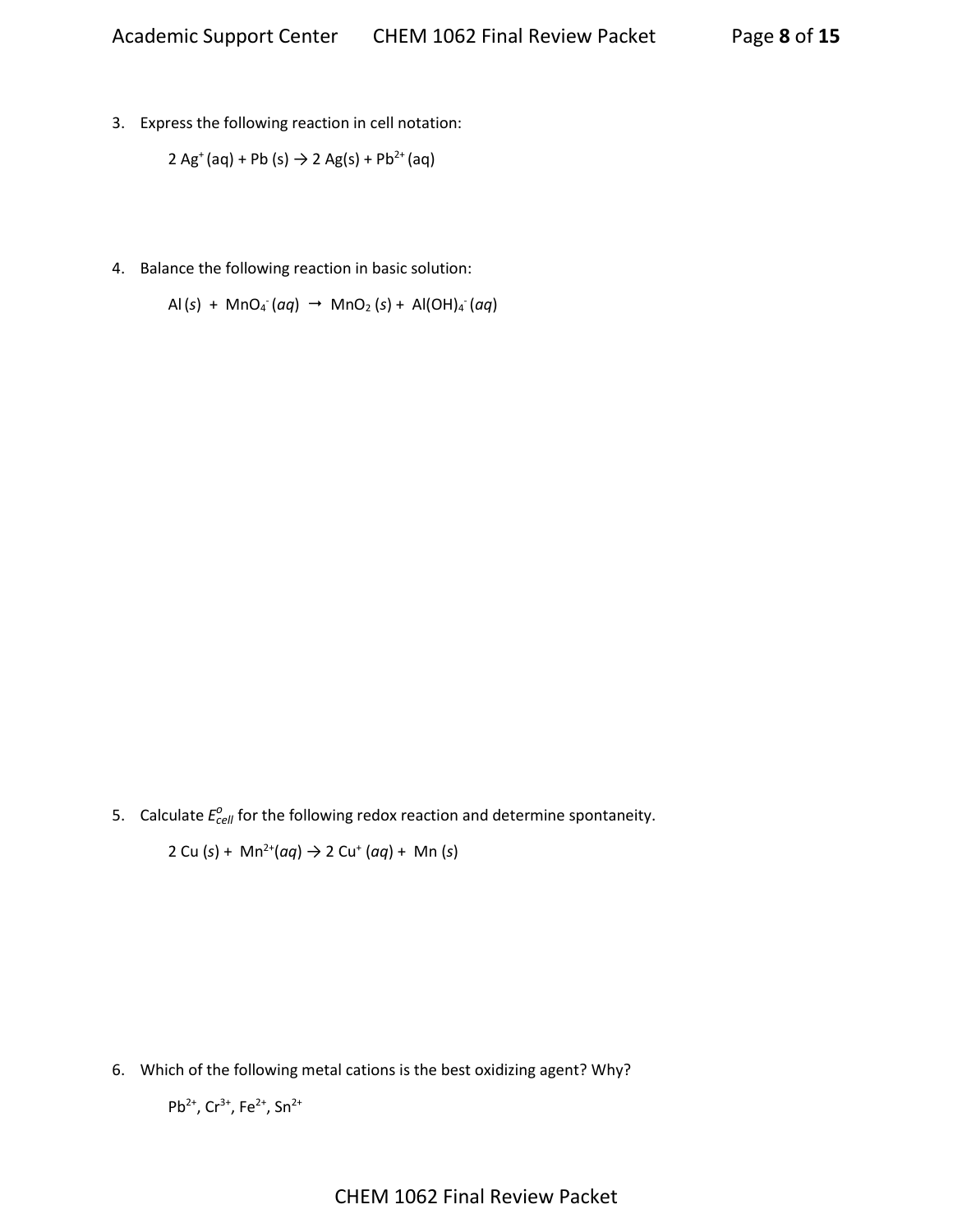3. Express the following reaction in cell notation:

$$
2 \text{ Ag}^+(aq) + Pb \text{ (s)} \rightarrow 2 \text{ Ag(s)} + Pb^{2+}(aq)
$$

4. Balance the following reaction in basic solution:

 $\text{Al}(s) + \text{MnO}_4$ <sup>-</sup>(*aq*)  $\rightarrow \text{MnO}_2$  (*s*) +  $\text{Al}(\text{OH})_4$ <sup>-</sup>(*aq*)

5. Calculate  $E_{cell}^o$  for the following redox reaction and determine spontaneity.

2 Cu (*s*) + Mn2+(*aq*) → 2 Cu<sup>+</sup> (*aq*) + Mn (*s*)

6. Which of the following metal cations is the best oxidizing agent? Why?

Pb<sup>2+</sup>, Cr<sup>3+</sup>, Fe<sup>2+</sup>, Sn<sup>2+</sup>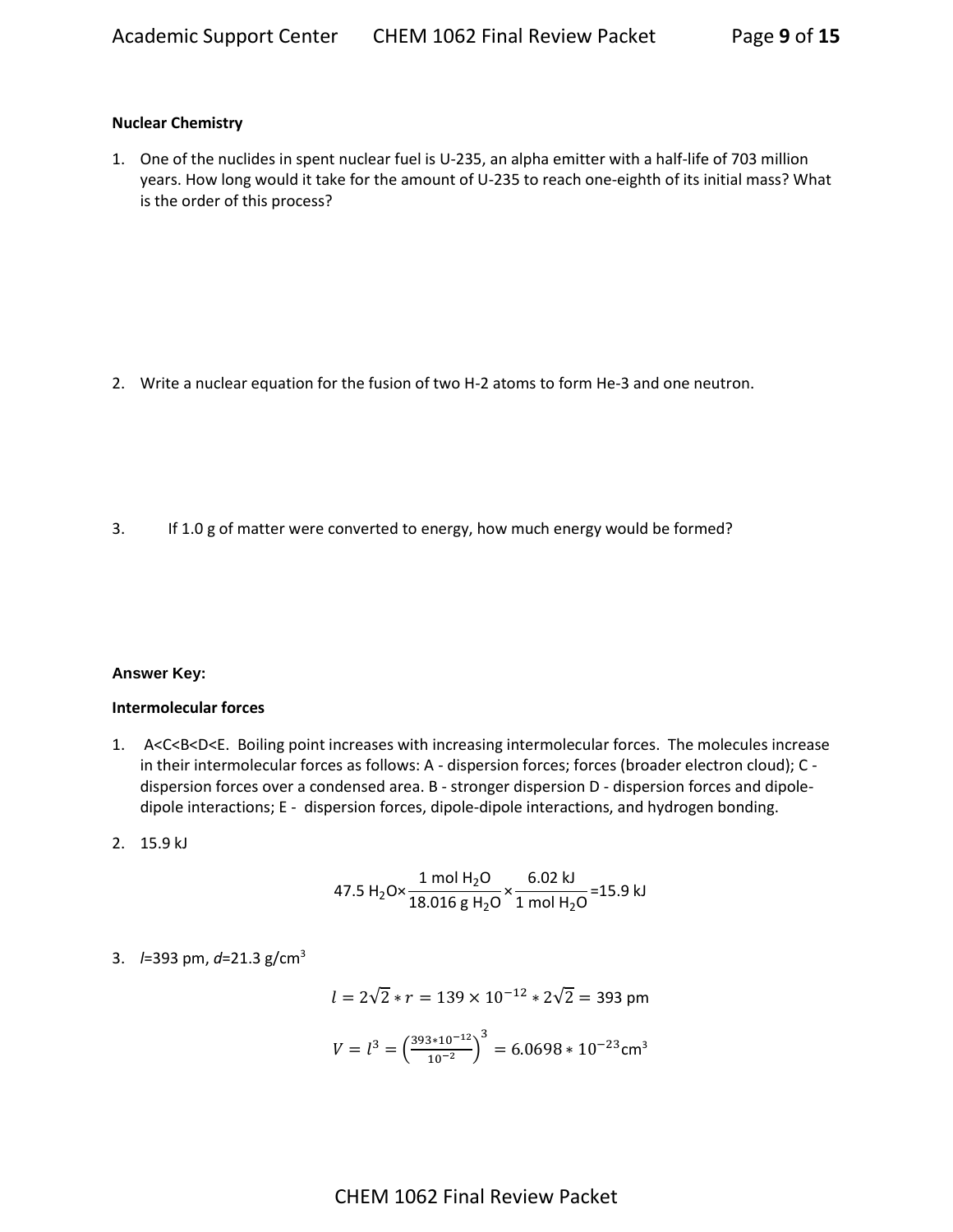### **Nuclear Chemistry**

1. One of the nuclides in spent nuclear fuel is U-235, an alpha emitter with a half-life of 703 million years. How long would it take for the amount of U-235 to reach one-eighth of its initial mass? What is the order of this process?

2. Write a nuclear equation for the fusion of two H-2 atoms to form He-3 and one neutron.

3. If 1.0 g of matter were converted to energy, how much energy would be formed?

#### **Answer Key:**

### **Intermolecular forces**

- 1. A<C<B<D<E. Boiling point increases with increasing intermolecular forces. The molecules increase in their intermolecular forces as follows: A - dispersion forces; forces (broader electron cloud); C dispersion forces over a condensed area. B - stronger dispersion D - dispersion forces and dipoledipole interactions; E - dispersion forces, dipole-dipole interactions, and hydrogen bonding.
- 2.15.9 kJ

47.5 H<sub>2</sub>O×
$$
\frac{1 \text{ mol H}_2\text{O}}{18.016 \text{ g H}_2\text{O}} \times \frac{6.02 \text{ kJ}}{1 \text{ mol H}_2\text{O}} = 15.9 \text{ kJ}
$$

# 3. *l*=393 pm, *d*=21.3 g/cm<sup>3</sup>

$$
l = 2\sqrt{2} \cdot r = 139 \times 10^{-12} \cdot 2\sqrt{2} = 393 \text{ pm}
$$

$$
V = l^3 = \left(\frac{393 \cdot 10^{-12}}{10^{-2}}\right)^3 = 6.0698 \cdot 10^{-23} \text{cm}^3
$$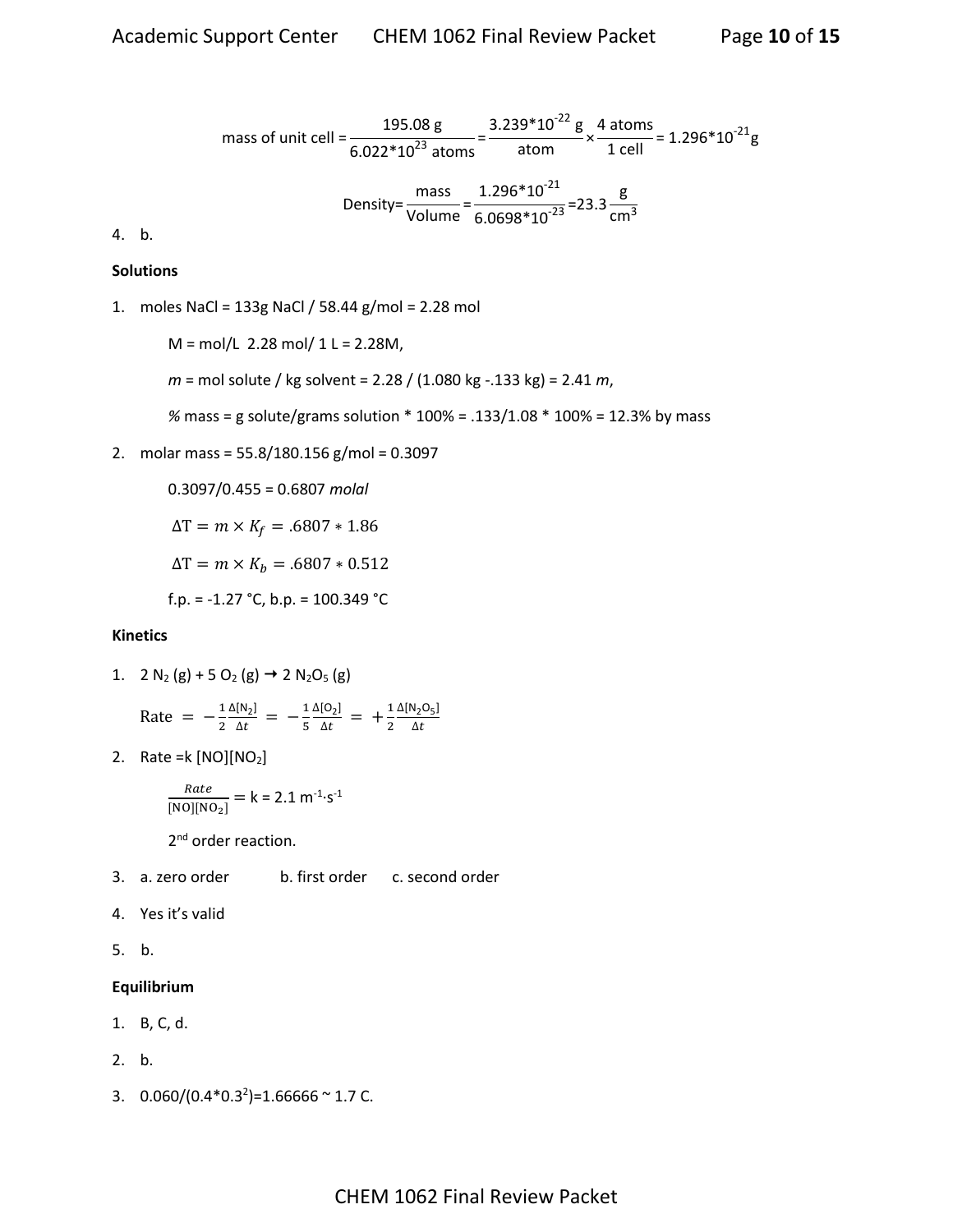mass of unit cell = 
$$
\frac{195.08 \text{ g}}{6.022*10^{23} \text{ atoms}} = \frac{3.239*10^{22} \text{ g}}{\text{atom}} \times \frac{4 \text{ atoms}}{1 \text{ cell}} = 1.296*10^{21} \text{g}
$$
  
Density = 
$$
\frac{\text{mass}}{\text{Volume}} = \frac{1.296*10^{21}}{6.0698*10^{23}} = 23.3 \frac{\text{g}}{\text{cm}^3}
$$

4. b.

#### **Solutions**

1. moles NaCl = 133g NaCl / 58.44 g/mol = 2.28 mol

 $M = mol/L$  2.28 mol/ 1 L = 2.28M,

- *m* = mol solute / kg solvent = 2.28 / (1.080 kg -.133 kg) = 2.41 *m*,
- *%* mass = g solute/grams solution \* 100% = .133/1.08 \* 100% = 12.3% by mass
- 2. molar mass = 55.8/180.156 g/mol = 0.3097

0.3097/0.455 = 0.6807 *molal*  $\Delta T = m \times K_f = .6807 * 1.86$  $\Delta T = m \times K_b = .6807 * 0.512$ f.p. =  $-1.27$  °C, b.p. = 100.349 °C

#### **Kinetics**

1. 2  $N_2$  (g) + 5 O<sub>2</sub> (g)  $\rightarrow$  2 N<sub>2</sub>O<sub>5</sub> (g)

Rate = 
$$
-\frac{1}{2} \frac{\Delta[N_2]}{\Delta t} = -\frac{1}{5} \frac{\Delta[O_2]}{\Delta t} = +\frac{1}{2} \frac{\Delta[N_2O_5]}{\Delta t}
$$

2. Rate = $k \text{[NO][NO}_2\text{]}$ 

$$
\frac{Rate}{[NO][NO_2]} = k = 2.1 m^{-1} \cdot s^{-1}
$$

2<sup>nd</sup> order reaction.

- 3. a. zero order b. first order c. second order
- 4. Yes it's valid
- 5. b.

#### **Equilibrium**

- 1. B, C, d.
- 2. b.
- 3.  $0.060/(0.4*0.3^2) = 1.66666$  ~ 1.7 C.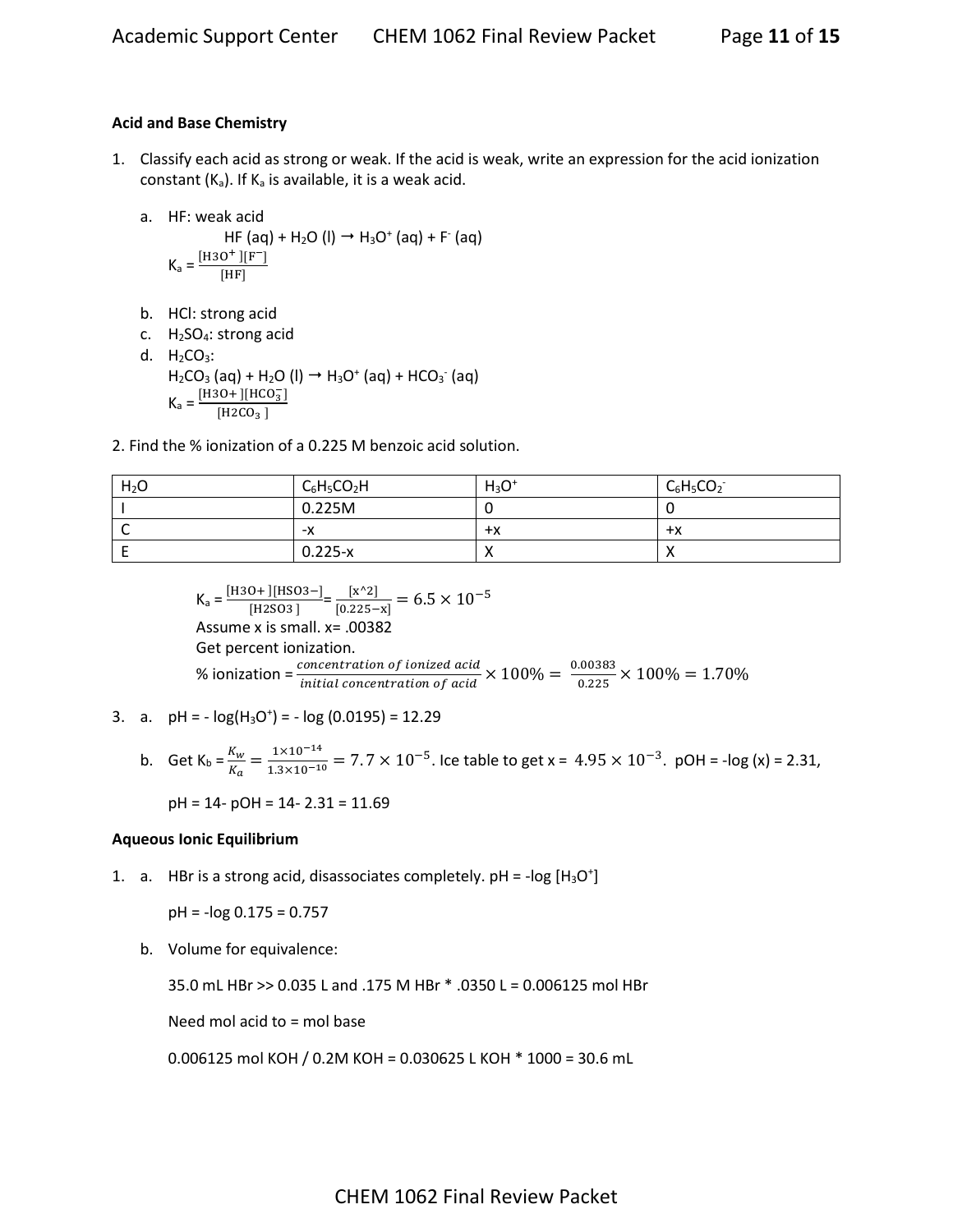# **Acid and Base Chemistry**

- 1. Classify each acid as strong or weak. If the acid is weak, write an expression for the acid ionization constant  $(K_a)$ . If  $K_a$  is available, it is a weak acid.
	- a. HF: weak acid

$$
HF (aq) + H2O (l) \rightarrow H3O+ (aq) + F- (aq)
$$
  

$$
Ka = \frac{[H3O+][F-]}{[HF]}
$$

- b. HCl: strong acid
- c. H2SO4: strong acid
- d.  $H_2CO_3$ :  $H_2CO_3$  (aq) +  $H_2O$  (l)  $\rightarrow$   $H_3O^+$  (aq) + HCO<sub>3</sub><sup>-</sup> (aq)  $K_a = \frac{[H3O+][HCO_3^-]}{[H3CO_3^-]}$  $[{\tt H2CO_3}$  ]
- 2. Find the % ionization of a 0.225 M benzoic acid solution.

| H <sub>2</sub> O | $C_6H_5CO_2H$ | $H_3O^+$   | $C_6H_5CO_2^-$ |
|------------------|---------------|------------|----------------|
|                  | 0.225M        |            |                |
| ∼                | -х            | $+x$       | $+x$           |
|                  | $0.225-x$     | $\sqrt{ }$ |                |

 $K_a = \frac{[H3O+][HSO3-]}{[H3SO3]}$  $\frac{[N+1][HSO3-]}{[H2SO3]} = \frac{[X^2]}{[0.225-]}$  $\frac{[x^2]}{[0.225-x]} = 6.5 \times 10^{-5}$ Assume x is small. x= .00382 Get percent ionization. % ionization =  $\frac{concentration\ of\ ionized\ acid}{initial\ concentration\ of\ acid} \times 100\% = \frac{0.00383}{0.225}$  $\frac{0.00363}{0.225} \times 100\% = 1.70\%$ 

3. a.  $pH = -\log(H_3O^+) = -\log(0.0195) = 12.29$ 

b. Get 
$$
K_b = \frac{K_w}{K_a} = \frac{1 \times 10^{-14}}{1.3 \times 10^{-10}} = 7.7 \times 10^{-5}
$$
. Ice table to get  $x = 4.95 \times 10^{-3}$ . pOH = -log (x) = 2.31.

$$
pH = 14 - pOH = 14 - 2.31 = 11.69
$$

# **Aqueous Ionic Equilibrium**

1. a. HBr is a strong acid, disassociates completely.  $pH = -log [H_3O^+]$ 

$$
pH = -\log 0.175 = 0.757
$$

b. Volume for equivalence:

35.0 mL HBr >> 0.035 L and .175 M HBr \* .0350 L = 0.006125 mol HBr

Need mol acid to = mol base

0.006125 mol KOH / 0.2M KOH = 0.030625 L KOH \* 1000 = 30.6 mL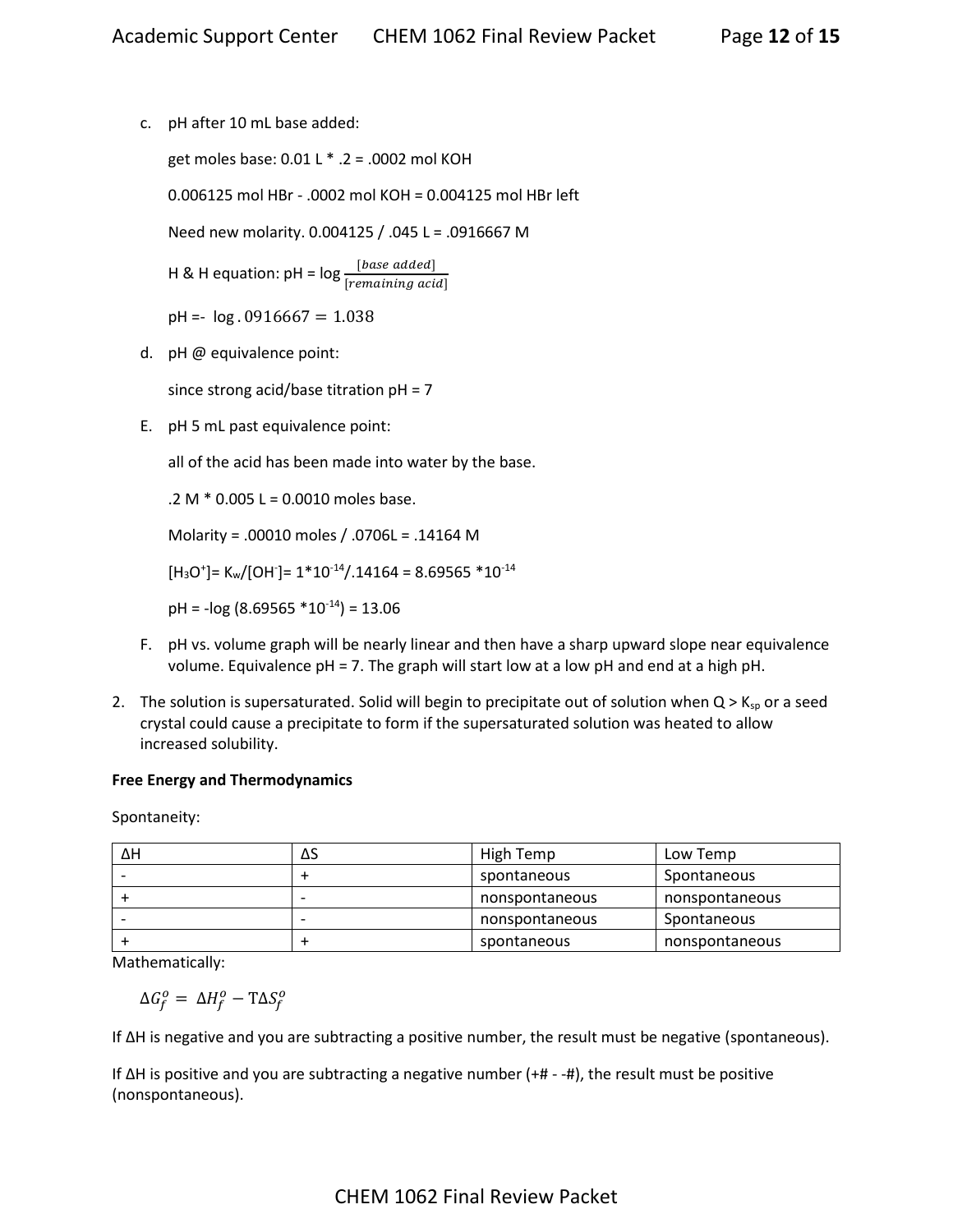c. pH after 10 mL base added:

get moles base: 0.01 L \* .2 = .0002 mol KOH

0.006125 mol HBr - .0002 mol KOH = 0.004125 mol HBr left

Need new molarity. 0.004125 / .045 L = .0916667 M

H & H equation: pH =  $log \frac{[base \ added]}{[remaining \ acid]}$ 

 $pH = -log .0916667 = 1.038$ 

d. pH @ equivalence point:

since strong acid/base titration pH = 7

E. pH 5 mL past equivalence point:

all of the acid has been made into water by the base.

.2 M \* 0.005 L = 0.0010 moles base.

Molarity = .00010 moles / .0706L = .14164 M

 $[\mathsf{H}_3\mathsf{O}^*]$ = K<sub>w</sub>/[OH<sup>-</sup>]= 1\*10<sup>-14</sup>/.14164 = 8.69565 \*10<sup>-14</sup>

 $pH = -log(8.69565 * 10^{-14}) = 13.06$ 

- F. pH vs. volume graph will be nearly linear and then have a sharp upward slope near equivalence volume. Equivalence pH = 7. The graph will start low at a low pH and end at a high pH.
- 2. The solution is supersaturated. Solid will begin to precipitate out of solution when  $Q > K_{sp}$  or a seed crystal could cause a precipitate to form if the supersaturated solution was heated to allow increased solubility.

# **Free Energy and Thermodynamics**

Spontaneity:

| ΔΗ | ΔS | High Temp      | Low Temp       |
|----|----|----------------|----------------|
|    |    | spontaneous    | Spontaneous    |
|    |    | nonspontaneous | nonspontaneous |
|    |    | nonspontaneous | Spontaneous    |
|    |    | spontaneous    | nonspontaneous |

Mathematically:

 $\Delta G_f^o = \Delta H_f^o - T \Delta S_f^o$ 

If ΔH is negative and you are subtracting a positive number, the result must be negative (spontaneous).

If ΔH is positive and you are subtracting a negative number (+# - -#), the result must be positive (nonspontaneous).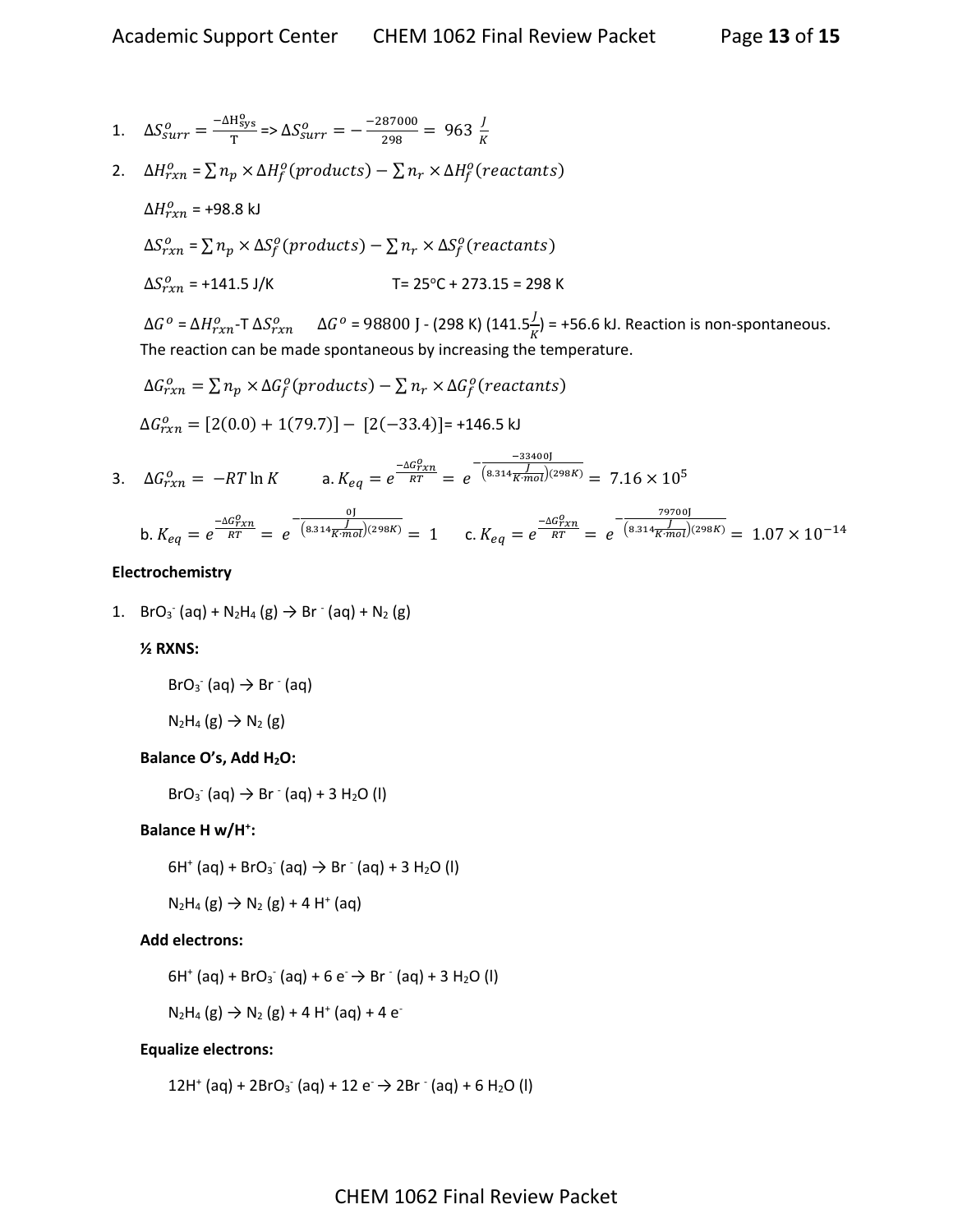1. 
$$
\Delta S_{surr}^o = \frac{-\Delta H_{sys}^o}{T} = \Delta S_{surr}^o = \frac{-287000}{298} = 963 \frac{I}{K}
$$

2.  $\Delta H_{rxn}^o = \sum n_p \times \Delta H_f^o (products) - \sum n_r \times \Delta H_f^o (reactants)$ 

$$
\Delta H_{rxn}^o = +98.8 \text{ kJ}
$$
\n
$$
\Delta S_{rxn}^o = \sum n_p \times \Delta S_f^o \text{ (products)} - \sum n_r \times \Delta S_f^o \text{ (reactants)}
$$
\n
$$
\Delta S_{rxn}^o = +141.5 \text{ J/K} \qquad \qquad \text{T} = 25^{\circ} \text{C} + 273.15 = 298 \text{ K}
$$

Δ $G^o$  = Δ $H^o_{rxn}$ -T Δ $S^o_{rxn}$   $\;\;\;\;$  Δ $G^o$  = 98800 J - (298 K) (141.5 $\frac{J}{K}$ ) = +56.6 kJ. Reaction is non-spontaneous. The reaction can be made spontaneous by increasing the temperature.

$$
\Delta G_{rxn}^o = \sum n_p \times \Delta G_f^o
$$
(products) -  $\sum n_r \times \Delta G_f^o$  (reactants)  

$$
\Delta G_{rxn}^o = [2(0.0) + 1(79.7)] - [2(-33.4)] = +146.5 \text{ kJ}
$$

3. 
$$
\Delta G_{rxn}^o = -RT \ln K
$$
 \n3.  $K_{eq} = e^{\frac{-\Delta G_{rxn}^o}{RT}} = e^{\frac{-33400 \text{ J}}{(8.314 \text{K} \cdot \text{mol})(298 \text{K})}} = 7.16 \times 10^5$ 

b. 
$$
K_{eq} = e^{\frac{-\Delta G_{rxn}^0}{RT}} = e^{\frac{0}{(8.314 \frac{J}{K \cdot mol})(298K)}} = 1
$$
 c.  $K_{eq} = e^{\frac{-\Delta G_{rxn}^0}{RT}} = e^{\frac{79700}{(8.314 \frac{J}{K \cdot mol})(298K)}} = 1.07 \times 10^{-14}$ 

#### **Electrochemistry**

1.  $BrO_3^- (aq) + N_2H_4 (g) \rightarrow Br^-(aq) + N_2 (g)$ 

#### **½ RXNS:**

$$
BrO_3^-(aq) \rightarrow Br^-(aq)
$$

$$
N_2H_4(g) \rightarrow N_2(g)
$$

# **Balance O's, Add H2O:**

 $BrO<sub>3</sub>$  (aq)  $\rightarrow$  Br  $\bar{ }$  (aq) + 3 H<sub>2</sub>O (l)

# **Balance H w/H<sup>+</sup> :**

 $6H^+$  (aq) + BrO<sub>3</sub> (aq)  $\rightarrow$  Br  $^-(aq)$  + 3 H<sub>2</sub>O (l)

$$
N_2H_4(g) \to N_2(g) + 4 H^+(aq)
$$

# **Add electrons:**

$$
6H^+(aq) + BrO_3
$$
 (aq) + 6 e  $\rightarrow$  Br (aq) + 3 H<sub>2</sub>O (l)

 $N_2H_4(g) \to N_2(g) + 4 H^+(aq) + 4 e^{-}$ 

# **Equalize electrons:**

 $12H^{+}$  (aq) +  $2BrO_3$  (aq) +  $12 e \rightarrow 2Br^{-}$  (aq) + 6 H<sub>2</sub>O (l)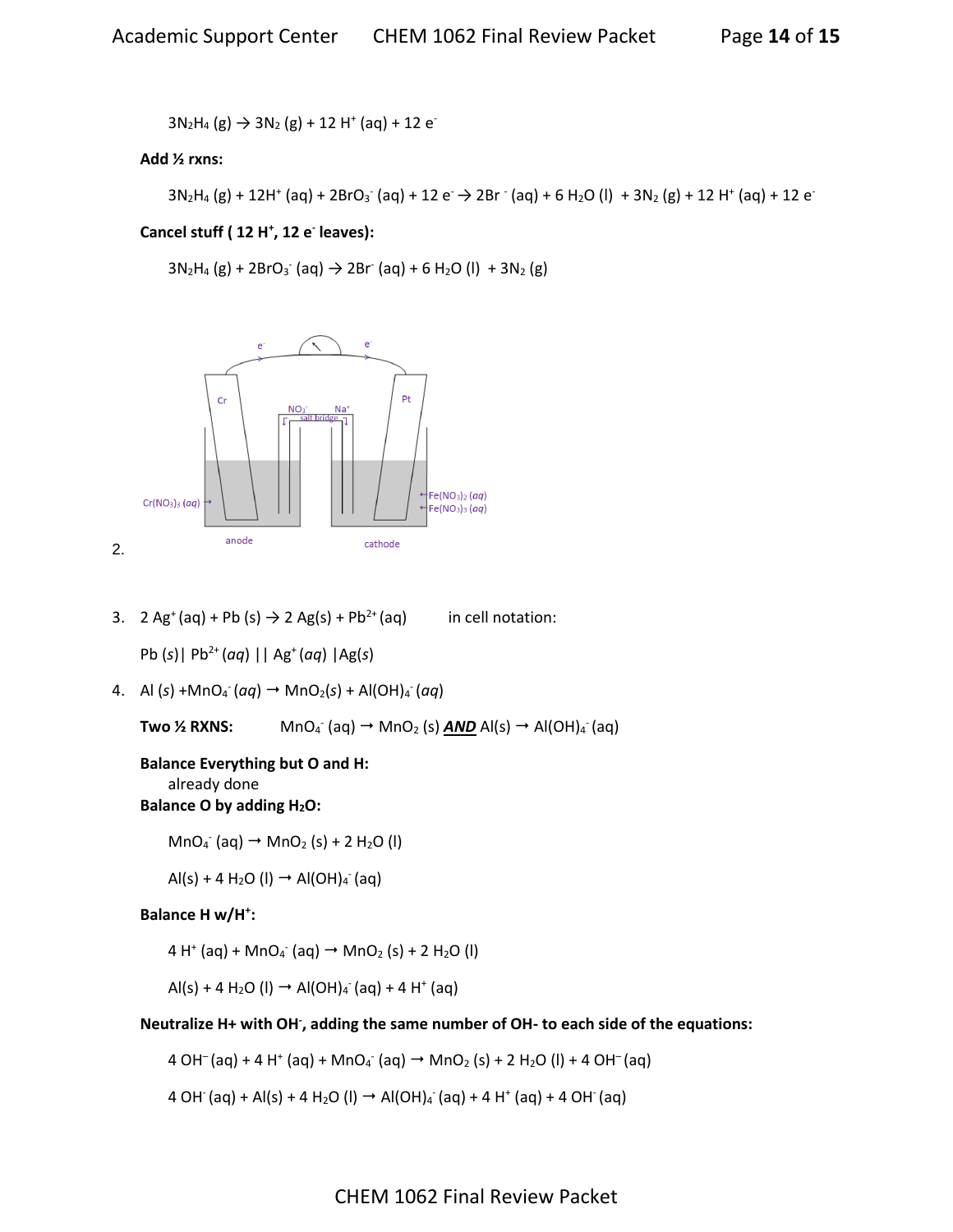$3N_2H_4(g) \rightarrow 3N_2(g) + 12 H^+(aq) + 12 e^{-r}$ 

# **Add ½ rxns:**

```
3N_2H_4(g) + 12H^+(aq) + 2BrO_3^-(aq) + 12 e^- \rightarrow 2Br^-(aq) + 6 H_2O (l) + 3N_2(g) + 12 H^+(aq) + 12 e^-
```
# **Cancel stuff ( 12 H<sup>+</sup> , 12 e-leaves):**

 $3N_2H_4$  (g) + 2BrO<sub>3</sub> (aq)  $\rightarrow$  2Br (aq) + 6 H<sub>2</sub>O (l) + 3N<sub>2</sub> (g)



3. 2 Ag<sup>+</sup>(aq) + Pb (s)  $\rightarrow$  2 Ag(s) + Pb<sup>2+</sup>(aq) in cell notation:

Pb (*s*)| Pb2+ (*aq*) || Ag<sup>+</sup>(*aq*) |Ag(*s*)

4. Al (s) +MnO<sub>4</sub> (*aq*) → MnO<sub>2</sub>(s) + Al(OH)<sub>4</sub> (*aq*)

Two <sup>1/2</sup> RXNS:  $\Gamma$  (aq)  $\rightarrow$  MnO<sub>2</sub> (s) **AND** Al(s)  $\rightarrow$  Al(OH)<sub>4</sub> (aq)

# **Balance Everything but O and H:**

already done

# **Balance O by adding H2O:**

 $MnO_4$  (aq)  $\rightarrow$   $MnO_2$  (s) + 2 H<sub>2</sub>O (l)

 $AI(s) + 4 H<sub>2</sub>O (I) \rightarrow AI(OH)<sub>4</sub> (aq)$ 

# **Balance H w/H<sup>+</sup> :**

 $4 H^{+}$  (aq) + MnO<sub>4</sub><sup>-</sup> (aq)  $\rightarrow$  MnO<sub>2</sub> (s) + 2 H<sub>2</sub>O (l)

 $\text{Al}(s) + 4 \text{ H}_2\text{O}$  (l)  $\rightarrow$  Al(OH)<sub>4</sub> (aq) + 4 H<sup>+</sup> (aq)

# **Neutralize H+ with OH- , adding the same number of OH- to each side of the equations:**

 $4 \text{ OH}^-(\text{aq}) + 4 \text{ H}^+(\text{aq}) + \text{MnO}_4 (\text{aq}) \rightarrow \text{MnO}_2 (\text{s}) + 2 \text{ H}_2\text{O} (\text{l}) + 4 \text{ OH}^-(\text{aq})$ 

4 OH (aq) + Al(s) + 4 H<sub>2</sub>O (l) → Al(OH)<sub>4</sub> (aq) + 4 H<sup>+</sup> (aq) + 4 OH (aq)